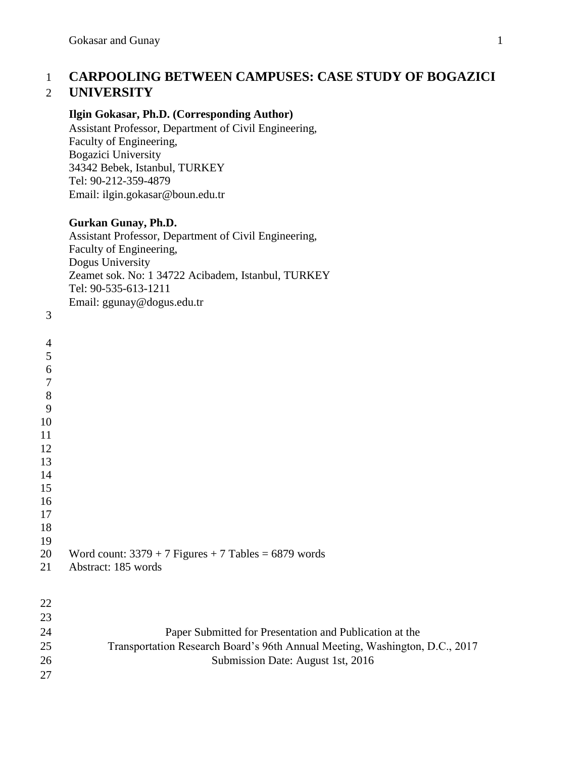# **CARPOOLING BETWEEN CAMPUSES: CASE STUDY OF BOGAZICI UNIVERSITY**

## **Ilgin Gokasar, Ph.D. (Corresponding Author)**

Assistant Professor, Department of Civil Engineering, Faculty of Engineering, Bogazici University 34342 Bebek, Istanbul, TURKEY Tel: 90-212-359-4879 Email: ilgin.gokasar@boun.edu.tr

## **Gurkan Gunay, Ph.D.**

Assistant Professor, Department of Civil Engineering, Faculty of Engineering, Dogus University Zeamet sok. No: 1 34722 Acibadem, Istanbul, TURKEY Tel: 90-535-613-1211 Email: ggunay@dogus.edu.tr

| $\mathfrak{Z}$ | Email: ggunay@dogus.edu.tr                                                  |
|----------------|-----------------------------------------------------------------------------|
| $\overline{4}$ |                                                                             |
| 5              |                                                                             |
| $\overline{6}$ |                                                                             |
| $\overline{7}$ |                                                                             |
| $\bf 8$        |                                                                             |
| 9              |                                                                             |
| $10\,$         |                                                                             |
| 11             |                                                                             |
| 12             |                                                                             |
| 13             |                                                                             |
| 14             |                                                                             |
| 15             |                                                                             |
| 16             |                                                                             |
| 17<br>18       |                                                                             |
| 19             |                                                                             |
| 20             | Word count: $3379 + 7$ Figures + 7 Tables = 6879 words                      |
| 21             | Abstract: 185 words                                                         |
|                |                                                                             |
| 22             |                                                                             |
| 23             |                                                                             |
| 24             | Paper Submitted for Presentation and Publication at the                     |
| 25             | Transportation Research Board's 96th Annual Meeting, Washington, D.C., 2017 |
| 26             | Submission Date: August 1st, 2016                                           |
| 27             |                                                                             |
|                |                                                                             |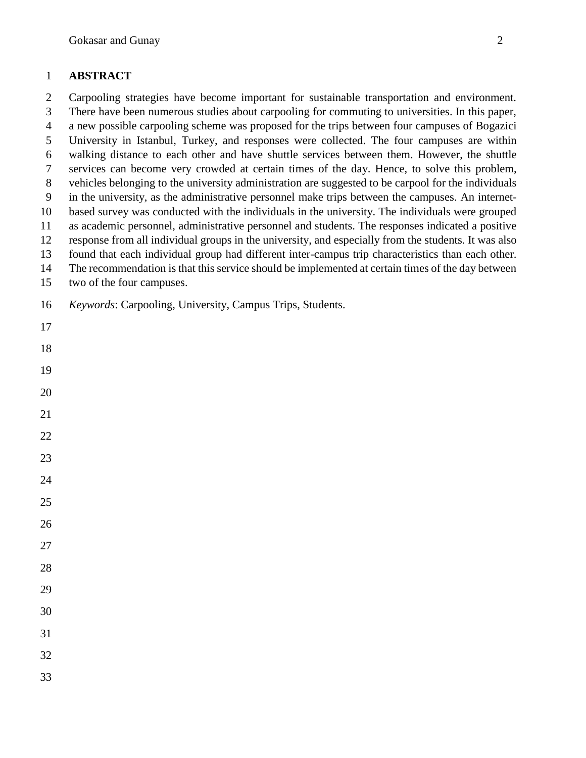## **ABSTRACT**

 Carpooling strategies have become important for sustainable transportation and environment. There have been numerous studies about carpooling for commuting to universities. In this paper,

a new possible carpooling scheme was proposed for the trips between four campuses of Bogazici

 University in Istanbul, Turkey, and responses were collected. The four campuses are within walking distance to each other and have shuttle services between them. However, the shuttle

services can become very crowded at certain times of the day. Hence, to solve this problem,

vehicles belonging to the university administration are suggested to be carpool for the individuals

- in the university, as the administrative personnel make trips between the campuses. An internet-
- based survey was conducted with the individuals in the university. The individuals were grouped
- as academic personnel, administrative personnel and students. The responses indicated a positive
- response from all individual groups in the university, and especially from the students. It was also found that each individual group had different inter-campus trip characteristics than each other.
- The recommendation is that this service should be implemented at certain times of the day between
- two of the four campuses.
- *Keywords*: Carpooling, University, Campus Trips, Students.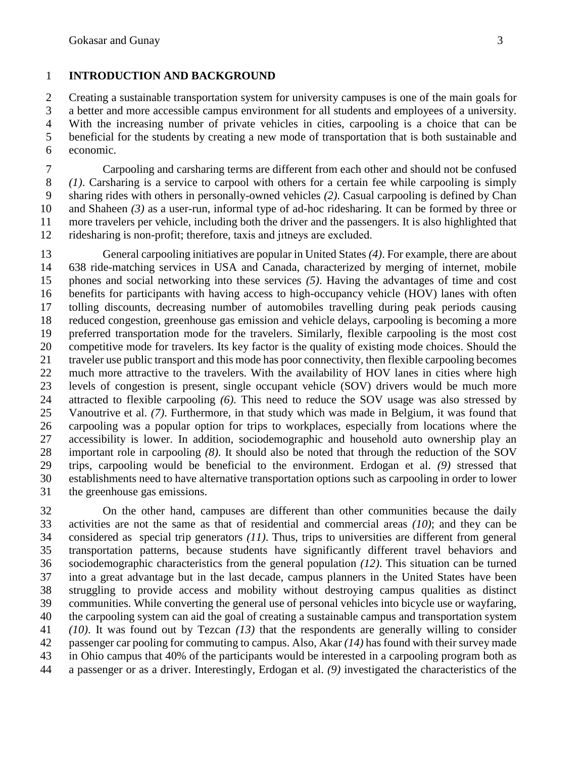# **INTRODUCTION AND BACKGROUND**

 Creating a sustainable transportation system for university campuses is one of the main goals for a better and more accessible campus environment for all students and employees of a university. With the increasing number of private vehicles in cities, carpooling is a choice that can be beneficial for the students by creating a new mode of transportation that is both sustainable and economic.

 Carpooling and carsharing terms are different from each other and should not be confused *(1)*. Carsharing is a service to carpool with others for a certain fee while carpooling is simply sharing rides with others in personally-owned vehicles *(2)*. Casual carpooling is defined by Chan and Shaheen *(3)* as a user-run, informal type of ad-hoc ridesharing. It can be formed by three or more travelers per vehicle, including both the driver and the passengers. It is also highlighted that ridesharing is non-profit; therefore, taxis and jıtneys are excluded.

 General carpooling initiatives are popular in United States *(4)*. For example, there are about 638 ride-matching services in USA and Canada, characterized by merging of internet, mobile phones and social networking into these services *(5)*. Having the advantages of time and cost benefits for participants with having access to high-occupancy vehicle (HOV) lanes with often tolling discounts, decreasing number of automobiles travelling during peak periods causing reduced congestion, greenhouse gas emission and vehicle delays, carpooling is becoming a more preferred transportation mode for the travelers. Similarly, flexible carpooling is the most cost competitive mode for travelers. Its key factor is the quality of existing mode choices. Should the traveler use public transport and this mode has poor connectivity, then flexible carpooling becomes much more attractive to the travelers. With the availability of HOV lanes in cities where high levels of congestion is present, single occupant vehicle (SOV) drivers would be much more attracted to flexible carpooling *(6)*. This need to reduce the SOV usage was also stressed by Vanoutrive et al. *(7)*. Furthermore, in that study which was made in Belgium, it was found that carpooling was a popular option for trips to workplaces, especially from locations where the accessibility is lower. In addition, sociodemographic and household auto ownership play an important role in carpooling *(8)*. It should also be noted that through the reduction of the SOV trips, carpooling would be beneficial to the environment. Erdogan et al. *(9)* stressed that establishments need to have alternative transportation options such as carpooling in order to lower the greenhouse gas emissions.

 On the other hand, campuses are different than other communities because the daily activities are not the same as that of residential and commercial areas *(10)*; and they can be considered as special trip generators *(11)*. Thus, trips to universities are different from general transportation patterns, because students have significantly different travel behaviors and sociodemographic characteristics from the general population *(12)*. This situation can be turned into a great advantage but in the last decade, campus planners in the United States have been struggling to provide access and mobility without destroying campus qualities as distinct communities. While converting the general use of personal vehicles into bicycle use or wayfaring, the carpooling system can aid the goal of creating a sustainable campus and transportation system *(10)*. It was found out by Tezcan *(13)* that the respondents are generally willing to consider passenger car pooling for commuting to campus. Also, Akar *(14)* has found with their survey made in Ohio campus that 40% of the participants would be interested in a carpooling program both as a passenger or as a driver. Interestingly, Erdogan et al. *(9)* investigated the characteristics of the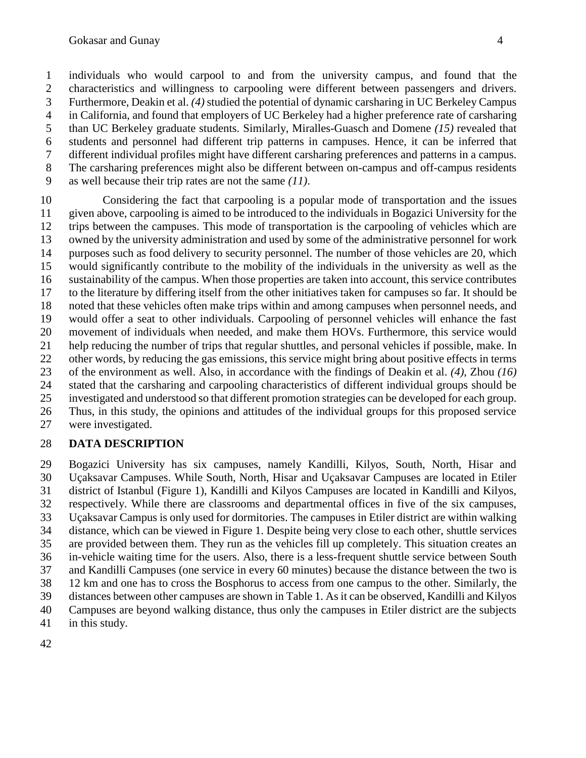individuals who would carpool to and from the university campus, and found that the characteristics and willingness to carpooling were different between passengers and drivers. Furthermore, Deakin et al. *(4)* studied the potential of dynamic carsharing in UC Berkeley Campus in California, and found that employers of UC Berkeley had a higher preference rate of carsharing than UC Berkeley graduate students. Similarly, Miralles-Guasch and Domene *(15)* revealed that students and personnel had different trip patterns in campuses. Hence, it can be inferred that different individual profiles might have different carsharing preferences and patterns in a campus. The carsharing preferences might also be different between on-campus and off-campus residents as well because their trip rates are not the same *(11)*.

 Considering the fact that carpooling is a popular mode of transportation and the issues given above, carpooling is aimed to be introduced to the individuals in Bogazici University for the trips between the campuses. This mode of transportation is the carpooling of vehicles which are owned by the university administration and used by some of the administrative personnel for work purposes such as food delivery to security personnel. The number of those vehicles are 20, which would significantly contribute to the mobility of the individuals in the university as well as the sustainability of the campus. When those properties are taken into account, this service contributes to the literature by differing itself from the other initiatives taken for campuses so far. It should be noted that these vehicles often make trips within and among campuses when personnel needs, and would offer a seat to other individuals. Carpooling of personnel vehicles will enhance the fast movement of individuals when needed, and make them HOVs. Furthermore, this service would help reducing the number of trips that regular shuttles, and personal vehicles if possible, make. In other words, by reducing the gas emissions, this service might bring about positive effects in terms of the environment as well. Also, in accordance with the findings of Deakin et al. *(4)*, Zhou *(16)* stated that the carsharing and carpooling characteristics of different individual groups should be investigated and understood so that different promotion strategies can be developed for each group. Thus, in this study, the opinions and attitudes of the individual groups for this proposed service were investigated.

## **DATA DESCRIPTION**

 Bogazici University has six campuses, namely Kandilli, Kilyos, South, North, Hisar and Uçaksavar Campuses. While South, North, Hisar and Uçaksavar Campuses are located in Etiler district of Istanbul (Figure 1), Kandilli and Kilyos Campuses are located in Kandilli and Kilyos, respectively. While there are classrooms and departmental offices in five of the six campuses, Uçaksavar Campus is only used for dormitories. The campuses in Etiler district are within walking distance, which can be viewed in Figure 1. Despite being very close to each other, shuttle services are provided between them. They run as the vehicles fill up completely. This situation creates an in-vehicle waiting time for the users. Also, there is a less-frequent shuttle service between South and Kandilli Campuses (one service in every 60 minutes) because the distance between the two is 12 km and one has to cross the Bosphorus to access from one campus to the other. Similarly, the distances between other campuses are shown in Table 1. As it can be observed, Kandilli and Kilyos Campuses are beyond walking distance, thus only the campuses in Etiler district are the subjects in this study.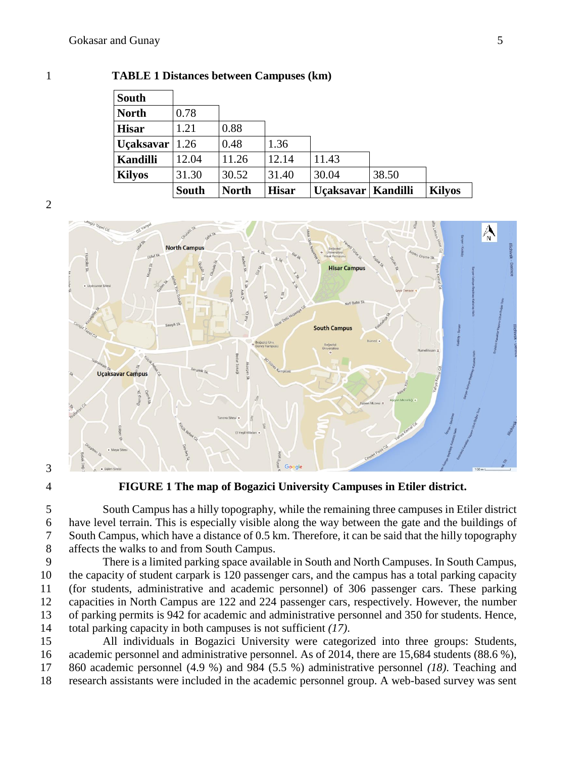|  | I |  |
|--|---|--|
|  |   |  |
|  |   |  |
|  |   |  |
|  |   |  |
|  |   |  |
|  |   |  |
|  |   |  |
|  |   |  |
|  |   |  |

### **TABLE 1 Distances between Campuses (km)**

| <b>South</b>      |              |              |              |                      |       |               |
|-------------------|--------------|--------------|--------------|----------------------|-------|---------------|
| <b>North</b>      | 0.78         |              |              |                      |       |               |
| <b>Hisar</b>      | 1.21         | 0.88         |              |                      |       |               |
| Uçaksavar $ 1.26$ |              | 0.48         | 1.36         |                      |       |               |
| <b>Kandilli</b>   | 12.04        | 11.26        | 12.14        | 11.43                |       |               |
| <b>Kilyos</b>     | 31.30        | 30.52        | 31.40        | 30.04                | 38.50 |               |
|                   | <b>South</b> | <b>North</b> | <b>Hisar</b> | Uçaksavar   Kandilli |       | <b>Kilyos</b> |



**FIGURE 1 The map of Bogazici University Campuses in Etiler district.**

 South Campus has a hilly topography, while the remaining three campuses in Etiler district have level terrain. This is especially visible along the way between the gate and the buildings of South Campus, which have a distance of 0.5 km. Therefore, it can be said that the hilly topography affects the walks to and from South Campus.

 There is a limited parking space available in South and North Campuses. In South Campus, the capacity of student carpark is 120 passenger cars, and the campus has a total parking capacity (for students, administrative and academic personnel) of 306 passenger cars. These parking capacities in North Campus are 122 and 224 passenger cars, respectively. However, the number of parking permits is 942 for academic and administrative personnel and 350 for students. Hence, total parking capacity in both campuses is not sufficient *(17)*.

 All individuals in Bogazici University were categorized into three groups: Students, academic personnel and administrative personnel. As of 2014, there are 15,684 students (88.6 %), 860 academic personnel (4.9 %) and 984 (5.5 %) administrative personnel *(18)*. Teaching and research assistants were included in the academic personnel group. A web-based survey was sent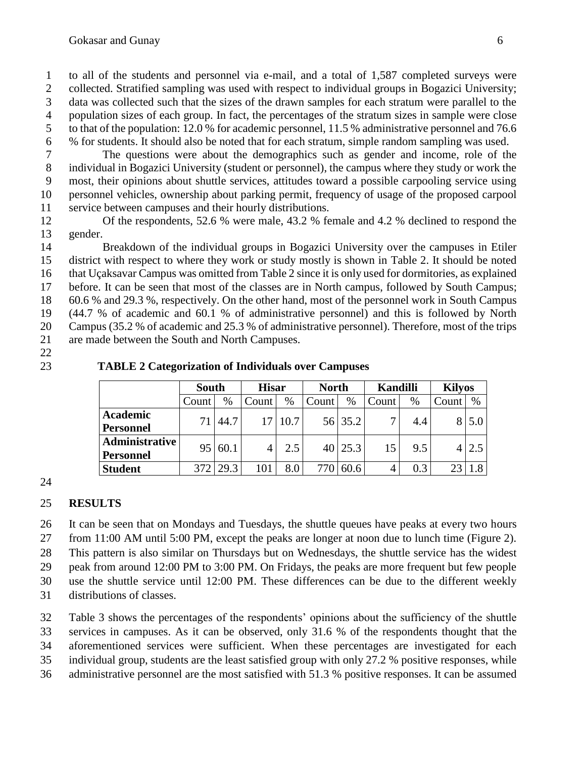to all of the students and personnel via e-mail, and a total of 1,587 completed surveys were collected. Stratified sampling was used with respect to individual groups in Bogazici University; data was collected such that the sizes of the drawn samples for each stratum were parallel to the population sizes of each group. In fact, the percentages of the stratum sizes in sample were close to that of the population: 12.0 % for academic personnel, 11.5 % administrative personnel and 76.6 % for students. It should also be noted that for each stratum, simple random sampling was used.

 The questions were about the demographics such as gender and income, role of the individual in Bogazici University (student or personnel), the campus where they study or work the most, their opinions about shuttle services, attitudes toward a possible carpooling service using personnel vehicles, ownership about parking permit, frequency of usage of the proposed carpool service between campuses and their hourly distributions.

 Of the respondents, 52.6 % were male, 43.2 % female and 4.2 % declined to respond the gender.

 Breakdown of the individual groups in Bogazici University over the campuses in Etiler district with respect to where they work or study mostly is shown in Table 2. It should be noted that Uçaksavar Campus was omitted from Table 2 since it is only used for dormitories, as explained before. It can be seen that most of the classes are in North campus, followed by South Campus; 60.6 % and 29.3 %, respectively. On the other hand, most of the personnel work in South Campus (44.7 % of academic and 60.1 % of administrative personnel) and this is followed by North Campus (35.2 % of academic and 25.3 % of administrative personnel). Therefore, most of the trips are made between the South and North Campuses.

## **TABLE 2 Categorization of Individuals over Campuses**

|                  | <b>South</b> |            | <b>Hisar</b> |         | <b>North</b> |               | Kandilli           |      | <b>Kilyos</b> |                   |
|------------------|--------------|------------|--------------|---------|--------------|---------------|--------------------|------|---------------|-------------------|
|                  | Count        | %          | Count        | $\%$    | Count        | $\%$          | Count <sup>1</sup> | $\%$ | Count         | $\%$              |
| <b>Academic</b>  |              | 44.7       |              | 17 10.7 |              | 56 35.2       |                    | 4.4  |               | $\vert 5.0 \vert$ |
| <b>Personnel</b> |              |            |              |         |              |               |                    |      |               |                   |
| Administrative   | 951          | 60.1       |              | 2.5     |              | $40\,$   25.3 | 15                 | 9.5  | 4             | 2.5               |
| <b>Personnel</b> |              |            |              |         |              |               |                    |      |               |                   |
| <b>Student</b>   |              | $372$ 29.3 | 101          | 8.0     | 770          | 60.6          |                    | 0.3  |               |                   |

## 

## **RESULTS**

 It can be seen that on Mondays and Tuesdays, the shuttle queues have peaks at every two hours from 11:00 AM until 5:00 PM, except the peaks are longer at noon due to lunch time (Figure 2).

This pattern is also similar on Thursdays but on Wednesdays, the shuttle service has the widest

peak from around 12:00 PM to 3:00 PM. On Fridays, the peaks are more frequent but few people

use the shuttle service until 12:00 PM. These differences can be due to the different weekly

distributions of classes.

Table 3 shows the percentages of the respondents' opinions about the sufficiency of the shuttle

services in campuses. As it can be observed, only 31.6 % of the respondents thought that the

aforementioned services were sufficient. When these percentages are investigated for each

individual group, students are the least satisfied group with only 27.2 % positive responses, while

administrative personnel are the most satisfied with 51.3 % positive responses. It can be assumed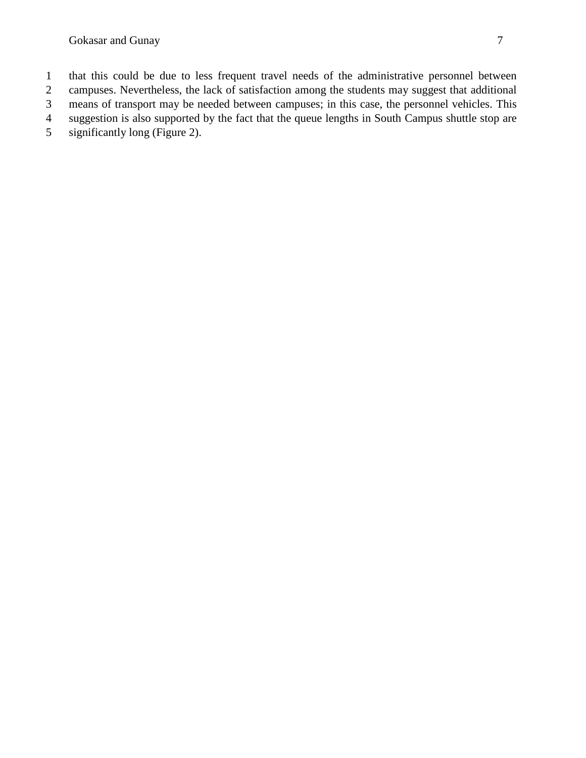Gokasar and Gunay 7

- that this could be due to less frequent travel needs of the administrative personnel between
- campuses. Nevertheless, the lack of satisfaction among the students may suggest that additional means of transport may be needed between campuses; in this case, the personnel vehicles. This
- suggestion is also supported by the fact that the queue lengths in South Campus shuttle stop are
- significantly long (Figure 2).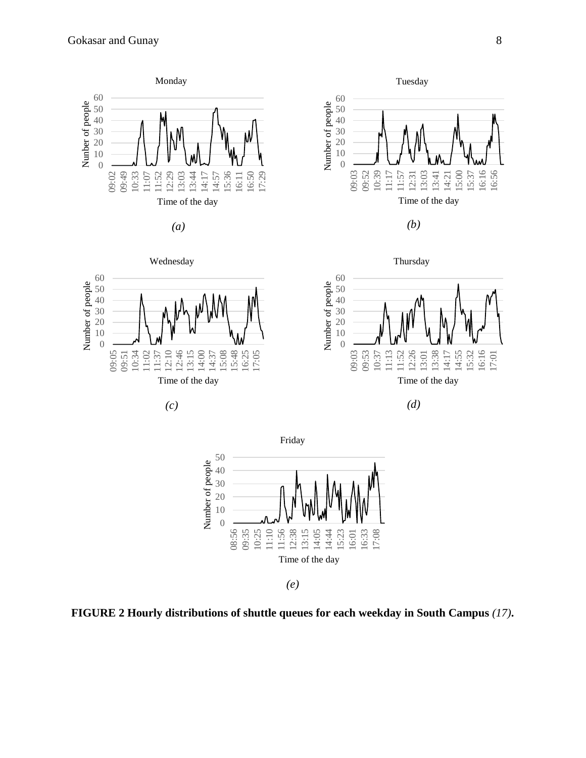





Thursday

Tuesday







*(e)*

**FIGURE 2 Hourly distributions of shuttle queues for each weekday in South Campus** *(17)***.**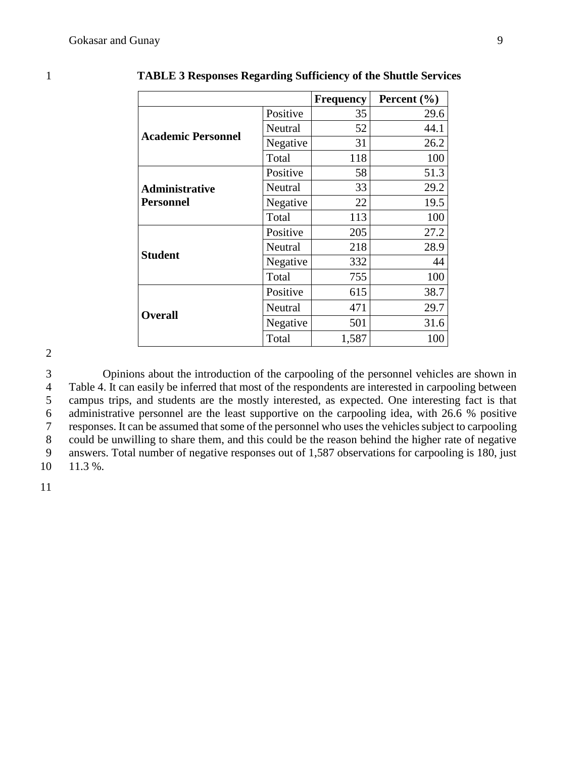|                           |                                                                                                                                                                                                                                                      | <b>Frequency</b> | Percent $(\% )$ |
|---------------------------|------------------------------------------------------------------------------------------------------------------------------------------------------------------------------------------------------------------------------------------------------|------------------|-----------------|
|                           | Positive                                                                                                                                                                                                                                             | 35               | 29.6            |
|                           | 52<br>Neutral<br>31<br>Negative<br>Total<br>118<br>Positive<br>58<br>33<br>Neutral<br>22<br>Negative<br>Total<br>113<br>Positive<br>205<br>218<br>Neutral<br>Negative<br>332<br>Total<br>755<br>Positive<br>615<br>471<br>Neutral<br>Negative<br>501 | 44.1             |                 |
| <b>Academic Personnel</b> |                                                                                                                                                                                                                                                      |                  | 26.2            |
|                           |                                                                                                                                                                                                                                                      | 1,587            | 100             |
|                           |                                                                                                                                                                                                                                                      |                  | 51.3            |
| <b>Administrative</b>     |                                                                                                                                                                                                                                                      |                  | 29.2            |
| <b>Personnel</b>          |                                                                                                                                                                                                                                                      |                  | 19.5            |
|                           |                                                                                                                                                                                                                                                      | 100              |                 |
|                           |                                                                                                                                                                                                                                                      |                  | 27.2            |
|                           |                                                                                                                                                                                                                                                      |                  | 28.9            |
| <b>Student</b>            |                                                                                                                                                                                                                                                      |                  | 44              |
|                           |                                                                                                                                                                                                                                                      |                  | 100             |
|                           |                                                                                                                                                                                                                                                      |                  | 38.7            |
|                           |                                                                                                                                                                                                                                                      |                  | 29.7            |
| <b>Overall</b>            |                                                                                                                                                                                                                                                      |                  | 31.6            |
|                           | Total                                                                                                                                                                                                                                                |                  | 100             |

1 **TABLE 3 Responses Regarding Sufficiency of the Shuttle Services**

2

 Opinions about the introduction of the carpooling of the personnel vehicles are shown in Table 4. It can easily be inferred that most of the respondents are interested in carpooling between campus trips, and students are the mostly interested, as expected. One interesting fact is that administrative personnel are the least supportive on the carpooling idea, with 26.6 % positive responses. It can be assumed that some of the personnel who uses the vehicles subject to carpooling could be unwilling to share them, and this could be the reason behind the higher rate of negative answers. Total number of negative responses out of 1,587 observations for carpooling is 180, just 10 11.3 %.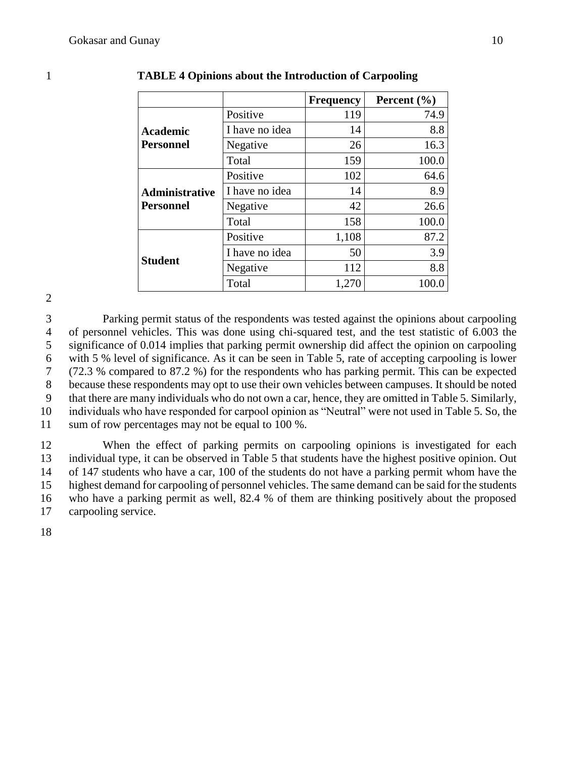|                  |                | <b>Frequency</b> | Percent $(\% )$ |
|------------------|----------------|------------------|-----------------|
|                  | Positive       | 119              | 74.9            |
| Academic         | I have no idea | 14               | 8.8             |
| <b>Personnel</b> | Negative       | 26               | 16.3            |
|                  | Total          | 159              | 100.0           |
|                  | Positive       | 102              | 64.6            |
| Administrative   | I have no idea | 14               | 8.9             |
| <b>Personnel</b> | Negative       | 42               | 26.6            |
|                  | Total          | 158              | 100.0           |
|                  | Positive       | 1,108            | 87.2            |
| <b>Student</b>   | I have no idea | 50               | 3.9             |
|                  | Negative       | 112              | 8.8             |
|                  | Total          | 1,270            | 100.0           |

#### 1 **TABLE 4 Opinions about the Introduction of Carpooling**

2

 Parking permit status of the respondents was tested against the opinions about carpooling of personnel vehicles. This was done using chi-squared test, and the test statistic of 6.003 the significance of 0.014 implies that parking permit ownership did affect the opinion on carpooling with 5 % level of significance. As it can be seen in Table 5, rate of accepting carpooling is lower (72.3 % compared to 87.2 %) for the respondents who has parking permit. This can be expected because these respondents may opt to use their own vehicles between campuses. It should be noted that there are many individuals who do not own a car, hence, they are omitted in Table 5. Similarly, individuals who have responded for carpool opinion as "Neutral" were not used in Table 5. So, the sum of row percentages may not be equal to 100 %.

 When the effect of parking permits on carpooling opinions is investigated for each individual type, it can be observed in Table 5 that students have the highest positive opinion. Out of 147 students who have a car, 100 of the students do not have a parking permit whom have the highest demand for carpooling of personnel vehicles. The same demand can be said for the students who have a parking permit as well, 82.4 % of them are thinking positively about the proposed carpooling service.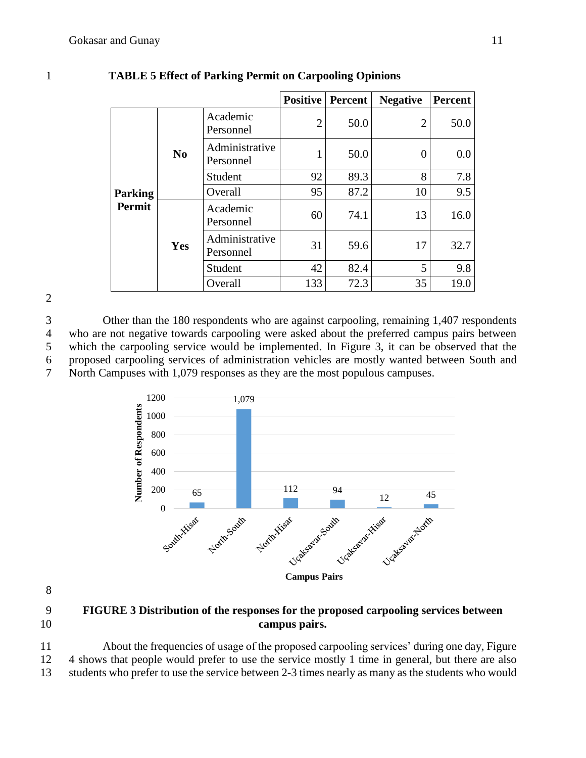|                |                |                             | <b>Positive</b> | Percent | <b>Negative</b> | <b>Percent</b> |
|----------------|----------------|-----------------------------|-----------------|---------|-----------------|----------------|
|                |                | Academic<br>Personnel       | $\overline{2}$  | 50.0    | $\overline{2}$  | 50.0           |
|                | N <sub>0</sub> | Administrative<br>Personnel |                 | 50.0    | 0               | $0.0\,$        |
|                |                | Student                     | 92              | 89.3    | 8               | 7.8            |
| <b>Parking</b> |                | Overall                     | 95              | 87.2    | 10              | 9.5            |
| Permit         |                | Academic<br>Personnel       | 60              | 74.1    | 13              | 16.0           |
|                | Yes            | Administrative<br>Personnel | 31              | 59.6    | 17              | 32.7           |
|                |                | Student                     | 42              | 82.4    | 5               | 9.8            |
|                |                | Overall                     | 133             | 72.3    | 35              | 19.0           |

### 1 **TABLE 5 Effect of Parking Permit on Carpooling Opinions**

#### 2

 Other than the 180 respondents who are against carpooling, remaining 1,407 respondents who are not negative towards carpooling were asked about the preferred campus pairs between which the carpooling service would be implemented. In Figure 3, it can be observed that the proposed carpooling services of administration vehicles are mostly wanted between South and North Campuses with 1,079 responses as they are the most populous campuses.



8

9 **FIGURE 3 Distribution of the responses for the proposed carpooling services between**  10 **campus pairs.**

11 About the frequencies of usage of the proposed carpooling services' during one day, Figure 12 4 shows that people would prefer to use the service mostly 1 time in general, but there are also 13 students who prefer to use the service between 2-3 times nearly as many as the students who would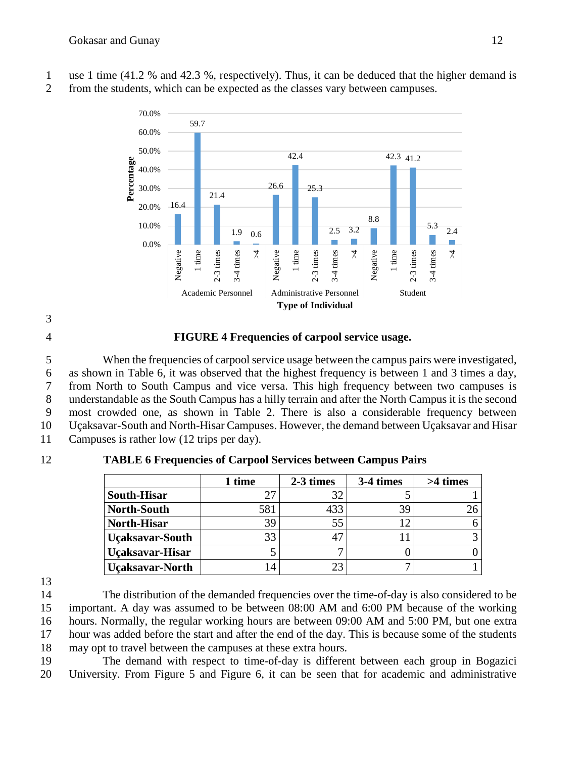- 1 use 1 time (41.2 % and 42.3 %, respectively). Thus, it can be deduced that the higher demand is
- 2 from the students, which can be expected as the classes vary between campuses.



3

## 4 **FIGURE 4 Frequencies of carpool service usage.**

 When the frequencies of carpool service usage between the campus pairs were investigated, as shown in Table 6, it was observed that the highest frequency is between 1 and 3 times a day, from North to South Campus and vice versa. This high frequency between two campuses is understandable as the South Campus has a hilly terrain and after the North Campus it is the second most crowded one, as shown in Table 2. There is also a considerable frequency between Uçaksavar-South and North-Hisar Campuses. However, the demand between Uçaksavar and Hisar 11 Campuses is rather low (12 trips per day).

# 12 **TABLE 6 Frequencies of Carpool Services between Campus Pairs**

|                        | 1 time | 2-3 times | 3-4 times | >4 times |
|------------------------|--------|-----------|-----------|----------|
| <b>South-Hisar</b>     |        | 32        |           |          |
| <b>North-South</b>     | 581    | 433       | 39        |          |
| <b>North-Hisar</b>     | 39     | 55        | 12        |          |
| <b>Uçaksavar-South</b> | 33     | 47        |           |          |
| Uçaksavar-Hisar        |        |           |           |          |
| <b>Uçaksavar-North</b> |        | 23        | −         |          |

13

 The distribution of the demanded frequencies over the time-of-day is also considered to be important. A day was assumed to be between 08:00 AM and 6:00 PM because of the working hours. Normally, the regular working hours are between 09:00 AM and 5:00 PM, but one extra hour was added before the start and after the end of the day. This is because some of the students may opt to travel between the campuses at these extra hours.

19 The demand with respect to time-of-day is different between each group in Bogazici 20 University. From Figure 5 and Figure 6, it can be seen that for academic and administrative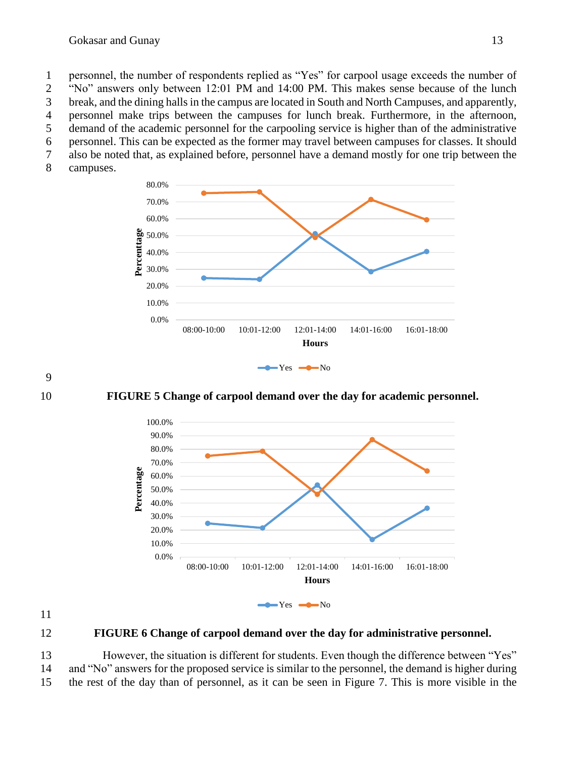1 personnel, the number of respondents replied as "Yes" for carpool usage exceeds the number of

2 "No" answers only between 12:01 PM and 14:00 PM. This makes sense because of the lunch 3 break, and the dining halls in the campus are located in South and North Campuses, and apparently,

4 personnel make trips between the campuses for lunch break. Furthermore, in the afternoon,

5 demand of the academic personnel for the carpooling service is higher than of the administrative

6 personnel. This can be expected as the former may travel between campuses for classes. It should

7 also be noted that, as explained before, personnel have a demand mostly for one trip between the

8 campuses.





10 **FIGURE 5 Change of carpool demand over the day for academic personnel.**



11

## 12 **FIGURE 6 Change of carpool demand over the day for administrative personnel.**

13 However, the situation is different for students. Even though the difference between "Yes" 14 and "No" answers for the proposed service is similar to the personnel, the demand is higher during 15 the rest of the day than of personnel, as it can be seen in Figure 7. This is more visible in the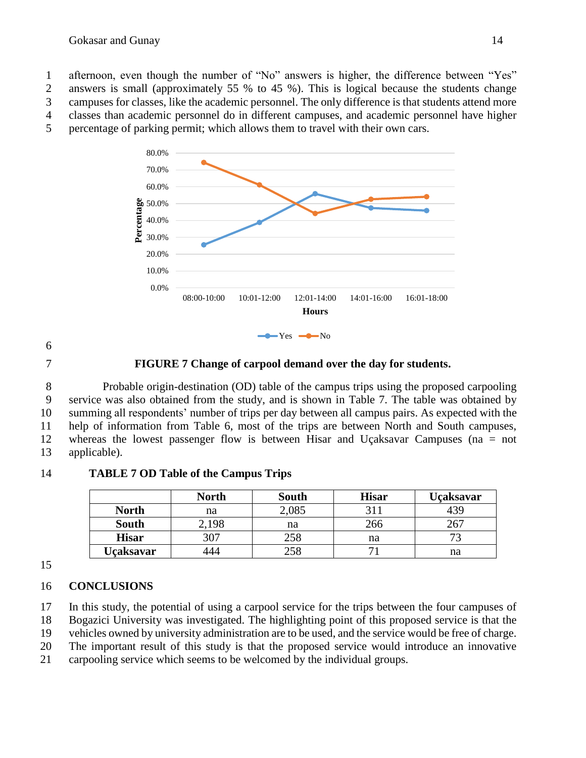afternoon, even though the number of "No" answers is higher, the difference between "Yes" answers is small (approximately 55 % to 45 %). This is logical because the students change campuses for classes, like the academic personnel. The only difference is that students attend more classes than academic personnel do in different campuses, and academic personnel have higher percentage of parking permit; which allows them to travel with their own cars.



6

## 7 **FIGURE 7 Change of carpool demand over the day for students.**

 Probable origin-destination (OD) table of the campus trips using the proposed carpooling service was also obtained from the study, and is shown in Table 7. The table was obtained by summing all respondents' number of trips per day between all campus pairs. As expected with the help of information from Table 6, most of the trips are between North and South campuses, whereas the lowest passenger flow is between Hisar and Uçaksavar Campuses (na = not applicable).

## **North South Hisar Uçaksavar North** 1 a 2,085 311 439 **South** 2,198 | na | 266 | 267 **Hisar** 307 258 na 73 **Uçaksavar** 444 258 71 na

14 **TABLE 7 OD Table of the Campus Trips**

15

# 16 **CONCLUSIONS**

17 In this study, the potential of using a carpool service for the trips between the four campuses of

18 Bogazici University was investigated. The highlighting point of this proposed service is that the 19 vehicles owned by university administration are to be used, and the service would be free of charge.

20 The important result of this study is that the proposed service would introduce an innovative

21 carpooling service which seems to be welcomed by the individual groups.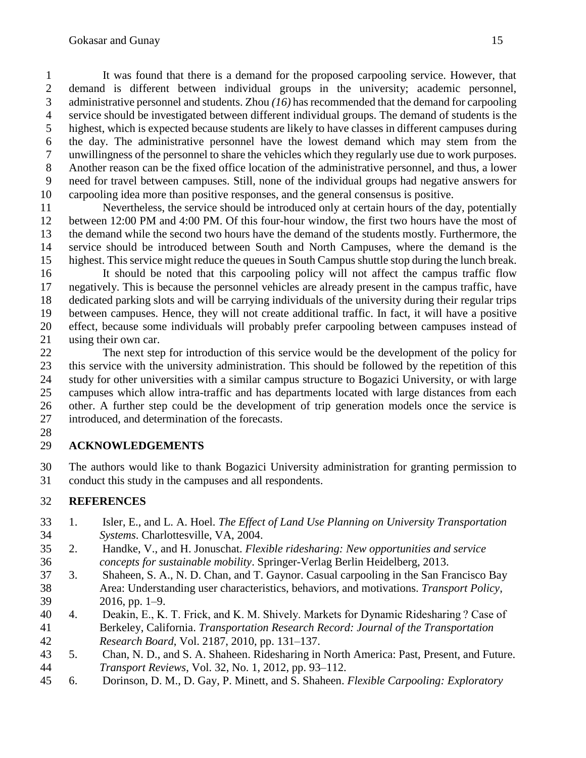It was found that there is a demand for the proposed carpooling service. However, that demand is different between individual groups in the university; academic personnel, administrative personnel and students. Zhou *(16)* has recommended that the demand for carpooling service should be investigated between different individual groups. The demand of students is the highest, which is expected because students are likely to have classes in different campuses during the day. The administrative personnel have the lowest demand which may stem from the unwillingness of the personnel to share the vehicles which they regularly use due to work purposes. Another reason can be the fixed office location of the administrative personnel, and thus, a lower need for travel between campuses. Still, none of the individual groups had negative answers for carpooling idea more than positive responses, and the general consensus is positive.

 Nevertheless, the service should be introduced only at certain hours of the day, potentially between 12:00 PM and 4:00 PM. Of this four-hour window, the first two hours have the most of the demand while the second two hours have the demand of the students mostly. Furthermore, the service should be introduced between South and North Campuses, where the demand is the highest. This service might reduce the queues in South Campus shuttle stop during the lunch break.

 It should be noted that this carpooling policy will not affect the campus traffic flow negatively. This is because the personnel vehicles are already present in the campus traffic, have dedicated parking slots and will be carrying individuals of the university during their regular trips between campuses. Hence, they will not create additional traffic. In fact, it will have a positive effect, because some individuals will probably prefer carpooling between campuses instead of using their own car.

 The next step for introduction of this service would be the development of the policy for this service with the university administration. This should be followed by the repetition of this study for other universities with a similar campus structure to Bogazici University, or with large campuses which allow intra-traffic and has departments located with large distances from each other. A further step could be the development of trip generation models once the service is introduced, and determination of the forecasts.

# **ACKNOWLEDGEMENTS**

 The authors would like to thank Bogazici University administration for granting permission to conduct this study in the campuses and all respondents.

# **REFERENCES**

- 1. Isler, E., and L. A. Hoel. *The Effect of Land Use Planning on University Transportation Systems*. Charlottesville, VA, 2004.
- 2. Handke, V., and H. Jonuschat. *Flexible ridesharing: New opportunities and service concepts for sustainable mobility*. Springer-Verlag Berlin Heidelberg, 2013.
- 3. Shaheen, S. A., N. D. Chan, and T. Gaynor. Casual carpooling in the San Francisco Bay Area: Understanding user characteristics, behaviors, and motivations. *Transport Policy*, 2016, pp. 1–9.
- 4. Deakin, E., K. T. Frick, and K. M. Shively. Markets for Dynamic Ridesharing ? Case of Berkeley, California. *Transportation Research Record: Journal of the Transportation Research Board*, Vol. 2187, 2010, pp. 131–137.
- 5. Chan, N. D., and S. A. Shaheen. Ridesharing in North America: Past, Present, and Future. *Transport Reviews*, Vol. 32, No. 1, 2012, pp. 93–112.
- 6. Dorinson, D. M., D. Gay, P. Minett, and S. Shaheen. *Flexible Carpooling: Exploratory*